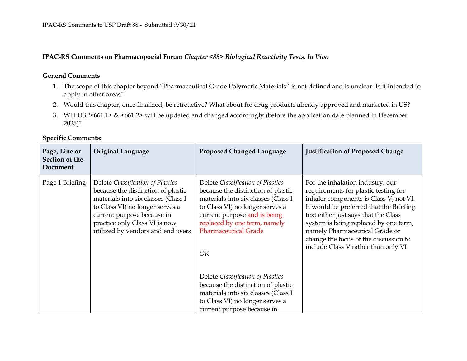## **IPAC-RS Comments on Pharmacopoeial Forum** *Chapter <88> Biological Reactivity Tests, In Vivo*

## **General Comments**

- 1. The scope of this chapter beyond "Pharmaceutical Grade Polymeric Materials" is not defined and is unclear. Is it intended to apply in other areas?
- 2. Would this chapter, once finalized, be retroactive? What about for drug products already approved and marketed in US?
- 3. Will USP<661.1> & <661.2> will be updated and changed accordingly (before the application date planned in December 2025)?

| Page, Line or<br>Section of the<br>Document | <b>Original Language</b>                                                                                                                                                                                                                              | <b>Proposed Changed Language</b>                                                                                                                                                                                                                       | <b>Justification of Proposed Change</b>                                                                                                                                                                                                                                                                                                                          |
|---------------------------------------------|-------------------------------------------------------------------------------------------------------------------------------------------------------------------------------------------------------------------------------------------------------|--------------------------------------------------------------------------------------------------------------------------------------------------------------------------------------------------------------------------------------------------------|------------------------------------------------------------------------------------------------------------------------------------------------------------------------------------------------------------------------------------------------------------------------------------------------------------------------------------------------------------------|
| Page 1 Briefing                             | Delete Classification of Plastics<br>because the distinction of plastic<br>materials into six classes (Class I<br>to Class VI) no longer serves a<br>current purpose because in<br>practice only Class VI is now<br>utilized by vendors and end users | Delete Classification of Plastics<br>because the distinction of plastic<br>materials into six classes (Class I<br>to Class VI) no longer serves a<br>current purpose and is being<br>replaced by one term, namely<br><b>Pharmaceutical Grade</b><br>OR | For the inhalation industry, our<br>requirements for plastic testing for<br>inhaler components is Class V, not VI.<br>It would be preferred that the Briefing<br>text either just says that the Class<br>system is being replaced by one term,<br>namely Pharmaceutical Grade or<br>change the focus of the discussion to<br>include Class V rather than only VI |
|                                             |                                                                                                                                                                                                                                                       | Delete Classification of Plastics<br>because the distinction of plastic<br>materials into six classes (Class I                                                                                                                                         |                                                                                                                                                                                                                                                                                                                                                                  |
|                                             |                                                                                                                                                                                                                                                       | to Class VI) no longer serves a<br>current purpose because in                                                                                                                                                                                          |                                                                                                                                                                                                                                                                                                                                                                  |

## **Specific Comments:**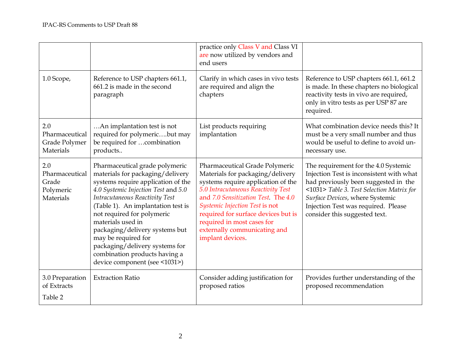|                                                          |                                                                                                                                                                                                                                                                                                                                                                                                                                         | practice only Class V and Class VI<br>are now utilized by vendors and<br>end users                                                                                                                                                                                                                                                               |                                                                                                                                                                                                                                                                                  |
|----------------------------------------------------------|-----------------------------------------------------------------------------------------------------------------------------------------------------------------------------------------------------------------------------------------------------------------------------------------------------------------------------------------------------------------------------------------------------------------------------------------|--------------------------------------------------------------------------------------------------------------------------------------------------------------------------------------------------------------------------------------------------------------------------------------------------------------------------------------------------|----------------------------------------------------------------------------------------------------------------------------------------------------------------------------------------------------------------------------------------------------------------------------------|
| 1.0 Scope,                                               | Reference to USP chapters 661.1,<br>661.2 is made in the second<br>paragraph                                                                                                                                                                                                                                                                                                                                                            | Clarify in which cases in vivo tests<br>are required and align the<br>chapters                                                                                                                                                                                                                                                                   | Reference to USP chapters 661.1, 661.2<br>is made. In these chapters no biological<br>reactivity tests in vivo are required,<br>only in vitro tests as per USP 87 are<br>required.                                                                                               |
| 2.0<br>Pharmaceutical<br>Grade Polymer<br>Materials      | An implantation test is not<br>required for polymericbut may<br>be required for combination<br>products                                                                                                                                                                                                                                                                                                                                 | List products requiring<br>implantation                                                                                                                                                                                                                                                                                                          | What combination device needs this? It<br>must be a very small number and thus<br>would be useful to define to avoid un-<br>necessary use.                                                                                                                                       |
| 2.0<br>Pharmaceutical<br>Grade<br>Polymeric<br>Materials | Pharmaceutical grade polymeric<br>materials for packaging/delivery<br>systems require application of the<br>4.0 Systemic Injection Test and 5.0<br>Intracutaneous Reactivity Test<br>(Table 1). An implantation test is<br>not required for polymeric<br>materials used in<br>packaging/delivery systems but<br>may be required for<br>packaging/delivery systems for<br>combination products having a<br>device component (see <1031>) | Pharmaceutical Grade Polymeric<br>Materials for packaging/delivery<br>systems require application of the<br>5.0 Intracutaneous Reactivity Test<br>and 7.0 Sensitization Test. The 4.0<br>Systemic Injection Test is not<br>required for surface devices but is<br>required in most cases for<br>externally communicating and<br>implant devices. | The requirement for the 4.0 Systemic<br>Injection Test is inconsistent with what<br>had previously been suggested in the<br><1031> Table 3. Test Selection Matrix for<br>Surface Devices, where Systemic<br>Injection Test was required. Please<br>consider this suggested text. |
| 3.0 Preparation<br>of Extracts<br>Table 2                | <b>Extraction Ratio</b>                                                                                                                                                                                                                                                                                                                                                                                                                 | Consider adding justification for<br>proposed ratios                                                                                                                                                                                                                                                                                             | Provides further understanding of the<br>proposed recommendation                                                                                                                                                                                                                 |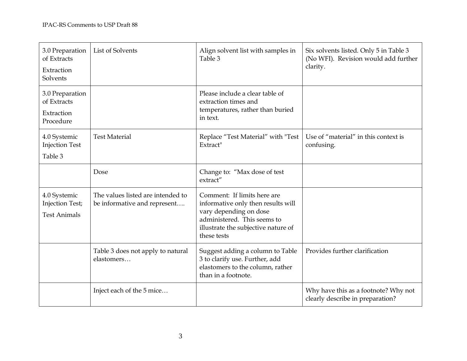| 3.0 Preparation<br>of Extracts<br>Extraction<br>Solvents  | List of Solvents                                                  | Align solvent list with samples in<br>Table 3                                                                                                                                    | Six solvents listed. Only 5 in Table 3<br>(No WFI). Revision would add further<br>clarity. |
|-----------------------------------------------------------|-------------------------------------------------------------------|----------------------------------------------------------------------------------------------------------------------------------------------------------------------------------|--------------------------------------------------------------------------------------------|
| 3.0 Preparation<br>of Extracts<br>Extraction<br>Procedure |                                                                   | Please include a clear table of<br>extraction times and<br>temperatures, rather than buried<br>in text.                                                                          |                                                                                            |
| 4.0 Systemic<br><b>Injection Test</b><br>Table 3          | <b>Test Material</b>                                              | Replace "Test Material" with "Test<br>Extract"                                                                                                                                   | Use of "material" in this context is<br>confusing.                                         |
|                                                           | Dose                                                              | Change to: "Max dose of test<br>extract"                                                                                                                                         |                                                                                            |
| 4.0 Systemic<br>Injection Test;<br><b>Test Animals</b>    | The values listed are intended to<br>be informative and represent | Comment: If limits here are<br>informative only then results will<br>vary depending on dose<br>administered. This seems to<br>illustrate the subjective nature of<br>these tests |                                                                                            |
|                                                           | Table 3 does not apply to natural<br>elastomers                   | Suggest adding a column to Table<br>3 to clarify use. Further, add<br>elastomers to the column, rather<br>than in a footnote.                                                    | Provides further clarification                                                             |
|                                                           | Inject each of the 5 mice                                         |                                                                                                                                                                                  | Why have this as a footnote? Why not<br>clearly describe in preparation?                   |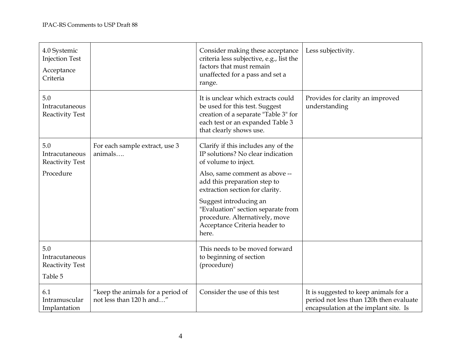| 4.0 Systemic<br><b>Injection Test</b><br>Acceptance<br>Criteria |                                                               | Consider making these acceptance<br>criteria less subjective, e.g., list the<br>factors that must remain<br>unaffected for a pass and set a<br>range.                       | Less subjectivity.                                                                                                        |
|-----------------------------------------------------------------|---------------------------------------------------------------|-----------------------------------------------------------------------------------------------------------------------------------------------------------------------------|---------------------------------------------------------------------------------------------------------------------------|
| 5.0<br>Intracutaneous<br><b>Reactivity Test</b>                 |                                                               | It is unclear which extracts could<br>be used for this test. Suggest<br>creation of a separate "Table 3" for<br>each test or an expanded Table 3<br>that clearly shows use. | Provides for clarity an improved<br>understanding                                                                         |
| 5.0<br>Intracutaneous<br><b>Reactivity Test</b>                 | For each sample extract, use 3<br>animals                     | Clarify if this includes any of the<br>IP solutions? No clear indication<br>of volume to inject.                                                                            |                                                                                                                           |
| Procedure                                                       |                                                               | Also, same comment as above --<br>add this preparation step to<br>extraction section for clarity.                                                                           |                                                                                                                           |
|                                                                 |                                                               | Suggest introducing an<br>"Evaluation" section separate from<br>procedure. Alternatively, move<br>Acceptance Criteria header to<br>here.                                    |                                                                                                                           |
| 5.0<br>Intracutaneous<br><b>Reactivity Test</b><br>Table 5      |                                                               | This needs to be moved forward<br>to beginning of section<br>(procedure)                                                                                                    |                                                                                                                           |
| 6.1<br>Intramuscular<br>Implantation                            | "keep the animals for a period of<br>not less than 120 h and" | Consider the use of this test                                                                                                                                               | It is suggested to keep animals for a<br>period not less than 120h then evaluate<br>encapsulation at the implant site. Is |